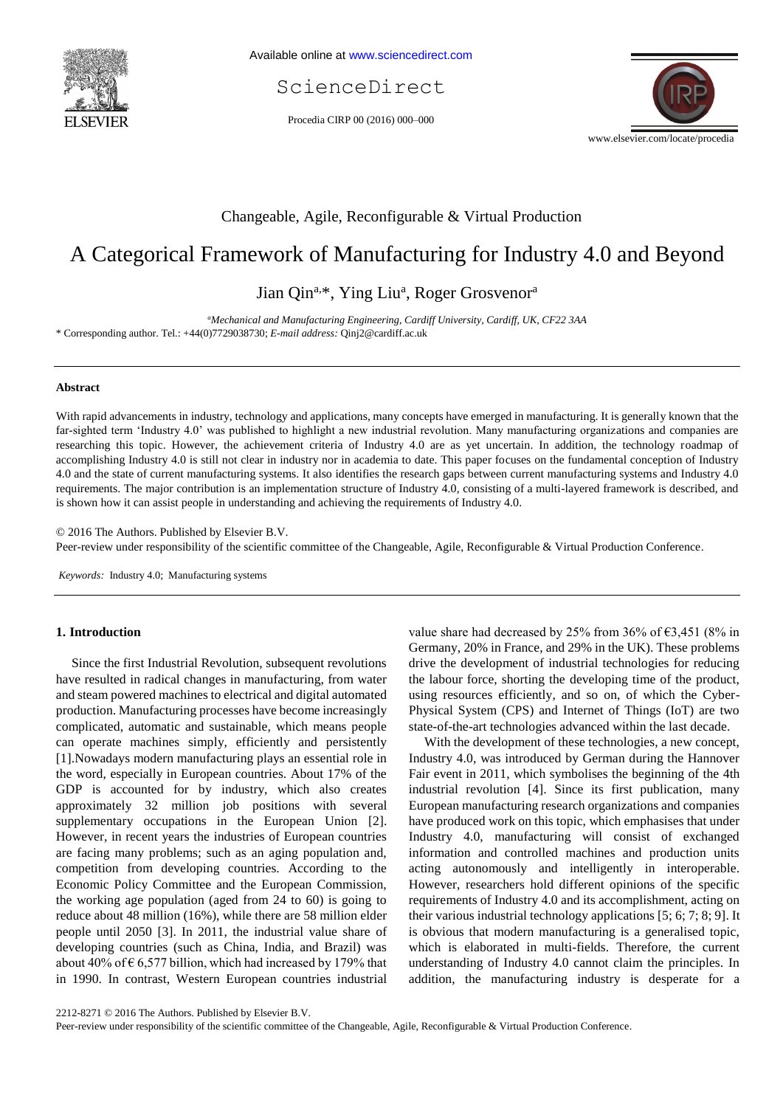

ScienceDirect

Procedia CIRP 00 (2016) 000–000



# Changeable, Agile, Reconfigurable & Virtual Production

# A Categorical Framework of Manufacturing for Industry 4.0 and Beyond

Jian Qin<sup>a,\*</sup>, Ying Liu<sup>a</sup>, Roger Grosvenor<sup>a</sup>

*<sup>a</sup>Mechanical and Manufacturing Engineering, Cardiff University, Cardiff, UK, CF22 3AA* \* Corresponding author. Tel.: +44(0)7729038730; *E-mail address:* Qinj2@cardiff.ac.uk

#### **Abstract**

With rapid advancements in industry, technology and applications, many concepts have emerged in manufacturing. It is generally known that the far-sighted term 'Industry 4.0' was published to highlight a new industrial revolution. Many manufacturing organizations and companies are researching this topic. However, the achievement criteria of Industry 4.0 are as yet uncertain. In addition, the technology roadmap of accomplishing Industry 4.0 is still not clear in industry nor in academia to date. This paper focuses on the fundamental conception of Industry 4.0 and the state of current manufacturing systems. It also identifies the research gaps between current manufacturing systems and Industry 4.0 requirements. The major contribution is an implementation structure of Industry 4.0, consisting of a multi-layered framework is described, and is shown how it can assist people in understanding and achieving the requirements of Industry 4.0.

© 2016 The Authors. Published by Elsevier B.V.

Peer-review under responsibility of the scientific committee of the Changeable, Agile, Reconfigurable & Virtual Production Conference.

*Keywords:* Industry 4.0; Manufacturing systems

#### **1. Introduction**

Since the first Industrial Revolution, subsequent revolutions have resulted in radical changes in manufacturing, from water and steam powered machines to electrical and digital automated production. Manufacturing processes have become increasingly complicated, automatic and sustainable, which means people can operate machines simply, efficiently and persistently [1].Nowadays modern manufacturing plays an essential role in the word, especially in European countries. About 17% of the GDP is accounted for by industry, which also creates approximately 32 million job positions with several supplementary occupations in the European Union [2]. However, in recent years the industries of European countries are facing many problems; such as an aging population and, competition from developing countries. According to the Economic Policy Committee and the European Commission, the working age population (aged from 24 to 60) is going to reduce about 48 million (16%), while there are 58 million elder people until 2050 [3]. In 2011, the industrial value share of developing countries (such as China, India, and Brazil) was about 40% of  $\epsilon$  6,577 billion, which had increased by 179% that in 1990. In contrast, Western European countries industrial

value share had decreased by 25% from 36% of  $\epsilon$ 3,451 (8% in Germany, 20% in France, and 29% in the UK). These problems drive the development of industrial technologies for reducing the labour force, shorting the developing time of the product, using resources efficiently, and so on, of which the Cyber-Physical System (CPS) and Internet of Things (IoT) are two state-of-the-art technologies advanced within the last decade.

With the development of these technologies, a new concept, Industry 4.0, was introduced by German during the Hannover Fair event in 2011, which symbolises the beginning of the 4th industrial revolution [4]. Since its first publication, many European manufacturing research organizations and companies have produced work on this topic, which emphasises that under Industry 4.0, manufacturing will consist of exchanged information and controlled machines and production units acting autonomously and intelligently in interoperable. However, researchers hold different opinions of the specific requirements of Industry 4.0 and its accomplishment, acting on their various industrial technology applications [5; 6; 7; 8; 9]. It is obvious that modern manufacturing is a generalised topic, which is elaborated in multi-fields. Therefore, the current understanding of Industry 4.0 cannot claim the principles. In addition, the manufacturing industry is desperate for a

2212-8271 © 2016 The Authors. Published by Elsevier B.V.

Peer-review under responsibility of the scientific committee of the Changeable, Agile, Reconfigurable & Virtual Production Conference.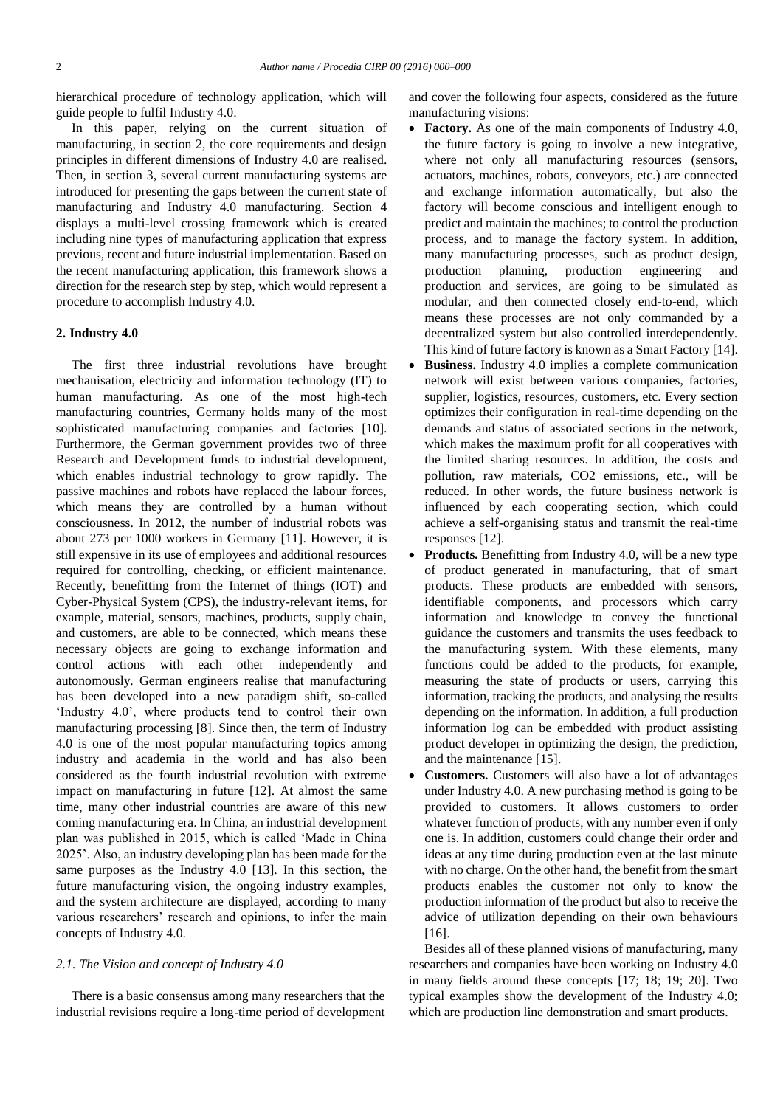hierarchical procedure of technology application, which will guide people to fulfil Industry 4.0.

In this paper, relying on the current situation of manufacturing, in section 2, the core requirements and design principles in different dimensions of Industry 4.0 are realised. Then, in section 3, several current manufacturing systems are introduced for presenting the gaps between the current state of manufacturing and Industry 4.0 manufacturing. Section 4 displays a multi-level crossing framework which is created including nine types of manufacturing application that express previous, recent and future industrial implementation. Based on the recent manufacturing application, this framework shows a direction for the research step by step, which would represent a procedure to accomplish Industry 4.0.

#### **2. Industry 4.0**

The first three industrial revolutions have brought mechanisation, electricity and information technology (IT) to human manufacturing. As one of the most high-tech manufacturing countries, Germany holds many of the most sophisticated manufacturing companies and factories [10]. Furthermore, the German government provides two of three Research and Development funds to industrial development, which enables industrial technology to grow rapidly. The passive machines and robots have replaced the labour forces, which means they are controlled by a human without consciousness. In 2012, the number of industrial robots was about 273 per 1000 workers in Germany [11]. However, it is still expensive in its use of employees and additional resources required for controlling, checking, or efficient maintenance. Recently, benefitting from the Internet of things (IOT) and Cyber-Physical System (CPS), the industry-relevant items, for example, material, sensors, machines, products, supply chain, and customers, are able to be connected, which means these necessary objects are going to exchange information and control actions with each other independently and autonomously. German engineers realise that manufacturing has been developed into a new paradigm shift, so-called 'Industry 4.0', where products tend to control their own manufacturing processing [8]. Since then, the term of Industry 4.0 is one of the most popular manufacturing topics among industry and academia in the world and has also been considered as the fourth industrial revolution with extreme impact on manufacturing in future [12]. At almost the same time, many other industrial countries are aware of this new coming manufacturing era. In China, an industrial development plan was published in 2015, which is called 'Made in China 2025'. Also, an industry developing plan has been made for the same purposes as the Industry 4.0 [13]. In this section, the future manufacturing vision, the ongoing industry examples, and the system architecture are displayed, according to many various researchers' research and opinions, to infer the main concepts of Industry 4.0.

#### *2.1. The Vision and concept of Industry 4.0*

There is a basic consensus among many researchers that the industrial revisions require a long-time period of development

and cover the following four aspects, considered as the future manufacturing visions:

- **Factory.** As one of the main components of Industry 4.0, the future factory is going to involve a new integrative, where not only all manufacturing resources (sensors, actuators, machines, robots, conveyors, etc.) are connected and exchange information automatically, but also the factory will become conscious and intelligent enough to predict and maintain the machines; to control the production process, and to manage the factory system. In addition, many manufacturing processes, such as product design, production planning, production engineering and production and services, are going to be simulated as modular, and then connected closely end-to-end, which means these processes are not only commanded by a decentralized system but also controlled interdependently. This kind of future factory is known as a Smart Factory [14].
- **Business.** Industry 4.0 implies a complete communication network will exist between various companies, factories, supplier, logistics, resources, customers, etc. Every section optimizes their configuration in real-time depending on the demands and status of associated sections in the network, which makes the maximum profit for all cooperatives with the limited sharing resources. In addition, the costs and pollution, raw materials, CO2 emissions, etc., will be reduced. In other words, the future business network is influenced by each cooperating section, which could achieve a self-organising status and transmit the real-time responses [12].
- **Products.** Benefitting from Industry 4.0, will be a new type of product generated in manufacturing, that of smart products. These products are embedded with sensors, identifiable components, and processors which carry information and knowledge to convey the functional guidance the customers and transmits the uses feedback to the manufacturing system. With these elements, many functions could be added to the products, for example, measuring the state of products or users, carrying this information, tracking the products, and analysing the results depending on the information. In addition, a full production information log can be embedded with product assisting product developer in optimizing the design, the prediction, and the maintenance [15].
- **Customers.** Customers will also have a lot of advantages under Industry 4.0. A new purchasing method is going to be provided to customers. It allows customers to order whatever function of products, with any number even if only one is. In addition, customers could change their order and ideas at any time during production even at the last minute with no charge. On the other hand, the benefit from the smart products enables the customer not only to know the production information of the product but also to receive the advice of utilization depending on their own behaviours [16].

Besides all of these planned visions of manufacturing, many researchers and companies have been working on Industry 4.0 in many fields around these concepts [17; 18; 19; 20]. Two typical examples show the development of the Industry 4.0; which are production line demonstration and smart products.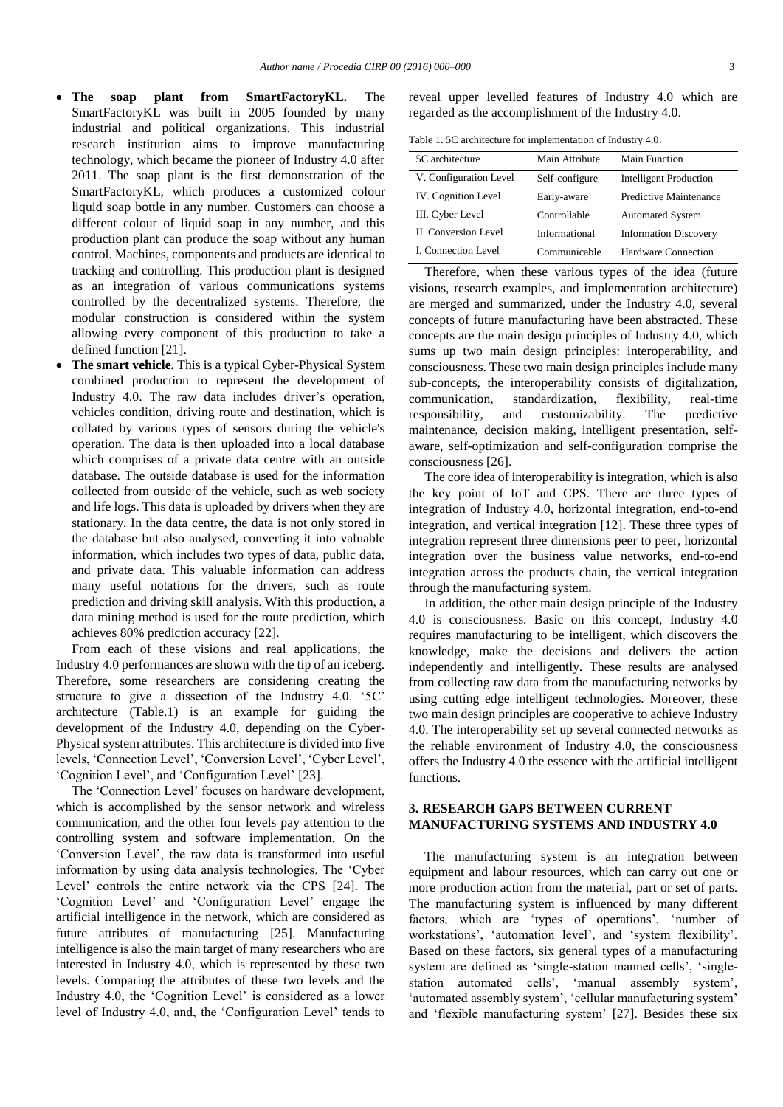- **The soap plant from SmartFactoryKL.** The SmartFactoryKL was built in 2005 founded by many industrial and political organizations. This industrial research institution aims to improve manufacturing technology, which became the pioneer of Industry 4.0 after 2011. The soap plant is the first demonstration of the SmartFactoryKL, which produces a customized colour liquid soap bottle in any number. Customers can choose a different colour of liquid soap in any number, and this production plant can produce the soap without any human control. Machines, components and products are identical to tracking and controlling. This production plant is designed as an integration of various communications systems controlled by the decentralized systems. Therefore, the modular construction is considered within the system allowing every component of this production to take a defined function [21].
- **The smart vehicle.** This is a typical Cyber-Physical System combined production to represent the development of Industry 4.0. The raw data includes driver's operation, vehicles condition, driving route and destination, which is collated by various types of sensors during the vehicle's operation. The data is then uploaded into a local database which comprises of a private data centre with an outside database. The outside database is used for the information collected from outside of the vehicle, such as web society and life logs. This data is uploaded by drivers when they are stationary. In the data centre, the data is not only stored in the database but also analysed, converting it into valuable information, which includes two types of data, public data, and private data. This valuable information can address many useful notations for the drivers, such as route prediction and driving skill analysis. With this production, a data mining method is used for the route prediction, which achieves 80% prediction accuracy [22].

From each of these visions and real applications, the Industry 4.0 performances are shown with the tip of an iceberg. Therefore, some researchers are considering creating the structure to give a dissection of the Industry 4.0. '5C' architecture (Table.1) is an example for guiding the development of the Industry 4.0, depending on the Cyber-Physical system attributes. This architecture is divided into five levels, 'Connection Level', 'Conversion Level', 'Cyber Level', 'Cognition Level', and 'Configuration Level' [23].

The 'Connection Level' focuses on hardware development, which is accomplished by the sensor network and wireless communication, and the other four levels pay attention to the controlling system and software implementation. On the 'Conversion Level', the raw data is transformed into useful information by using data analysis technologies. The 'Cyber Level' controls the entire network via the CPS [24]. The 'Cognition Level' and 'Configuration Level' engage the artificial intelligence in the network, which are considered as future attributes of manufacturing [25]. Manufacturing intelligence is also the main target of many researchers who are interested in Industry 4.0, which is represented by these two levels. Comparing the attributes of these two levels and the Industry 4.0, the 'Cognition Level' is considered as a lower level of Industry 4.0, and, the 'Configuration Level' tends to reveal upper levelled features of Industry 4.0 which are regarded as the accomplishment of the Industry 4.0.

Table 1. 5C architecture for implementation of Industry 4.0.

| Predictive Maintenance                                                               |
|--------------------------------------------------------------------------------------|
|                                                                                      |
|                                                                                      |
|                                                                                      |
| <b>Intelligent Production</b><br><b>Information Discovery</b><br>Hardware Connection |

Therefore, when these various types of the idea (future visions, research examples, and implementation architecture) are merged and summarized, under the Industry 4.0, several concepts of future manufacturing have been abstracted. These concepts are the main design principles of Industry 4.0, which sums up two main design principles: interoperability, and consciousness. These two main design principles include many sub-concepts, the interoperability consists of digitalization, communication, standardization, flexibility, real-time responsibility, and customizability. The predictive maintenance, decision making, intelligent presentation, selfaware, self-optimization and self-configuration comprise the consciousness [26].

The core idea of interoperability is integration, which is also the key point of IoT and CPS. There are three types of integration of Industry 4.0, horizontal integration, end-to-end integration, and vertical integration [12]. These three types of integration represent three dimensions peer to peer, horizontal integration over the business value networks, end-to-end integration across the products chain, the vertical integration through the manufacturing system.

In addition, the other main design principle of the Industry 4.0 is consciousness. Basic on this concept, Industry 4.0 requires manufacturing to be intelligent, which discovers the knowledge, make the decisions and delivers the action independently and intelligently. These results are analysed from collecting raw data from the manufacturing networks by using cutting edge intelligent technologies. Moreover, these two main design principles are cooperative to achieve Industry 4.0. The interoperability set up several connected networks as the reliable environment of Industry 4.0, the consciousness offers the Industry 4.0 the essence with the artificial intelligent functions.

## **3. RESEARCH GAPS BETWEEN CURRENT MANUFACTURING SYSTEMS AND INDUSTRY 4.0**

The manufacturing system is an integration between equipment and labour resources, which can carry out one or more production action from the material, part or set of parts. The manufacturing system is influenced by many different factors, which are 'types of operations', 'number of workstations', 'automation level', and 'system flexibility'. Based on these factors, six general types of a manufacturing system are defined as 'single-station manned cells', 'singlestation automated cells', 'manual assembly system', 'automated assembly system', 'cellular manufacturing system' and 'flexible manufacturing system' [27]. Besides these six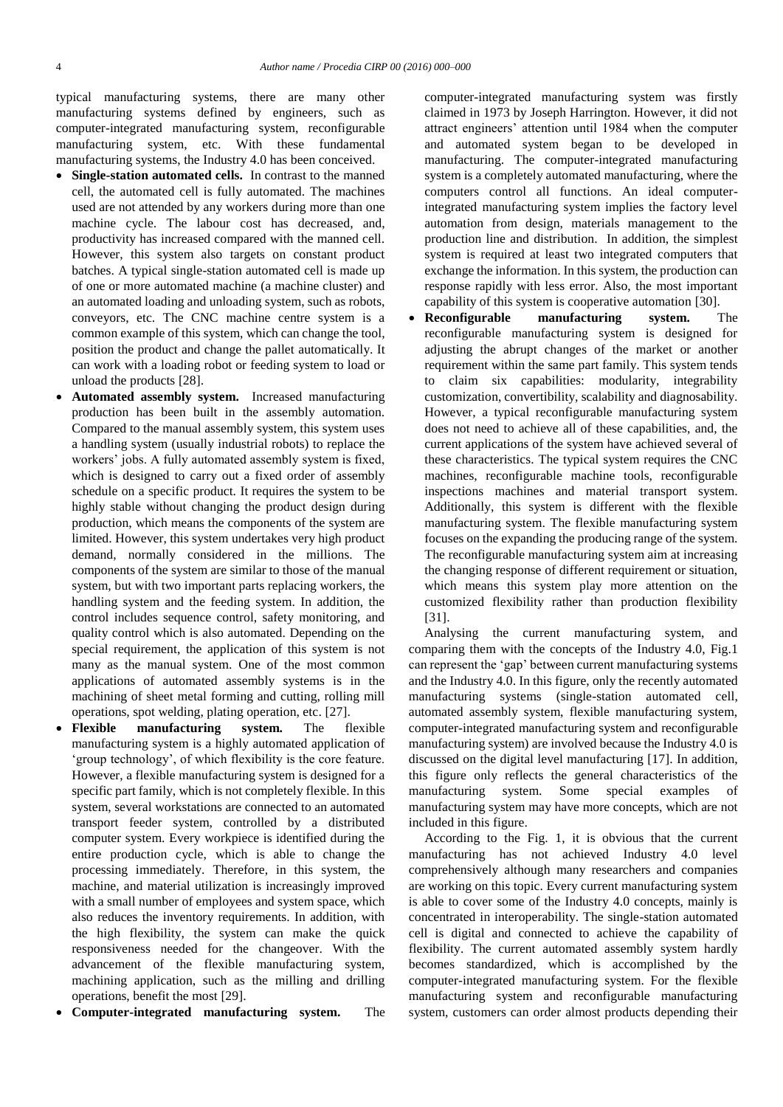typical manufacturing systems, there are many other manufacturing systems defined by engineers, such as computer-integrated manufacturing system, reconfigurable manufacturing system, etc. With these fundamental manufacturing systems, the Industry 4.0 has been conceived.

- **Single-station automated cells.** In contrast to the manned cell, the automated cell is fully automated. The machines used are not attended by any workers during more than one machine cycle. The labour cost has decreased, and, productivity has increased compared with the manned cell. However, this system also targets on constant product batches. A typical single-station automated cell is made up of one or more automated machine (a machine cluster) and an automated loading and unloading system, such as robots, conveyors, etc. The CNC machine centre system is a common example of this system, which can change the tool, position the product and change the pallet automatically. It can work with a loading robot or feeding system to load or unload the products [28].
- **Automated assembly system.** Increased manufacturing production has been built in the assembly automation. Compared to the manual assembly system, this system uses a handling system (usually industrial robots) to replace the workers' jobs. A fully automated assembly system is fixed, which is designed to carry out a fixed order of assembly schedule on a specific product. It requires the system to be highly stable without changing the product design during production, which means the components of the system are limited. However, this system undertakes very high product demand, normally considered in the millions. The components of the system are similar to those of the manual system, but with two important parts replacing workers, the handling system and the feeding system. In addition, the control includes sequence control, safety monitoring, and quality control which is also automated. Depending on the special requirement, the application of this system is not many as the manual system. One of the most common applications of automated assembly systems is in the machining of sheet metal forming and cutting, rolling mill operations, spot welding, plating operation, etc. [27].
- **Flexible manufacturing system.** The flexible manufacturing system is a highly automated application of 'group technology', of which flexibility is the core feature. However, a flexible manufacturing system is designed for a specific part family, which is not completely flexible. In this system, several workstations are connected to an automated transport feeder system, controlled by a distributed computer system. Every workpiece is identified during the entire production cycle, which is able to change the processing immediately. Therefore, in this system, the machine, and material utilization is increasingly improved with a small number of employees and system space, which also reduces the inventory requirements. In addition, with the high flexibility, the system can make the quick responsiveness needed for the changeover. With the advancement of the flexible manufacturing system, machining application, such as the milling and drilling operations, benefit the most [29].
- **Computer-integrated manufacturing system.** The

computer-integrated manufacturing system was firstly claimed in 1973 by Joseph Harrington. However, it did not attract engineers' attention until 1984 when the computer and automated system began to be developed in manufacturing. The computer-integrated manufacturing system is a completely automated manufacturing, where the computers control all functions. An ideal computerintegrated manufacturing system implies the factory level automation from design, materials management to the production line and distribution. In addition, the simplest system is required at least two integrated computers that exchange the information. In this system, the production can response rapidly with less error. Also, the most important capability of this system is cooperative automation [30].

 **Reconfigurable manufacturing system.** The reconfigurable manufacturing system is designed for adjusting the abrupt changes of the market or another requirement within the same part family. This system tends to claim six capabilities: modularity, integrability customization, convertibility, scalability and diagnosability. However, a typical reconfigurable manufacturing system does not need to achieve all of these capabilities, and, the current applications of the system have achieved several of these characteristics. The typical system requires the CNC machines, reconfigurable machine tools, reconfigurable inspections machines and material transport system. Additionally, this system is different with the flexible manufacturing system. The flexible manufacturing system focuses on the expanding the producing range of the system. The reconfigurable manufacturing system aim at increasing the changing response of different requirement or situation, which means this system play more attention on the customized flexibility rather than production flexibility [31].

Analysing the current manufacturing system, and comparing them with the concepts of the Industry 4.0, Fig.1 can represent the 'gap' between current manufacturing systems and the Industry 4.0. In this figure, only the recently automated manufacturing systems (single-station automated cell, automated assembly system, flexible manufacturing system, computer-integrated manufacturing system and reconfigurable manufacturing system) are involved because the Industry 4.0 is discussed on the digital level manufacturing [17]. In addition, this figure only reflects the general characteristics of the manufacturing system. Some special examples of manufacturing system may have more concepts, which are not included in this figure.

According to the Fig. 1, it is obvious that the current manufacturing has not achieved Industry 4.0 level comprehensively although many researchers and companies are working on this topic. Every current manufacturing system is able to cover some of the Industry 4.0 concepts, mainly is concentrated in interoperability. The single-station automated cell is digital and connected to achieve the capability of flexibility. The current automated assembly system hardly becomes standardized, which is accomplished by the computer-integrated manufacturing system. For the flexible manufacturing system and reconfigurable manufacturing system, customers can order almost products depending their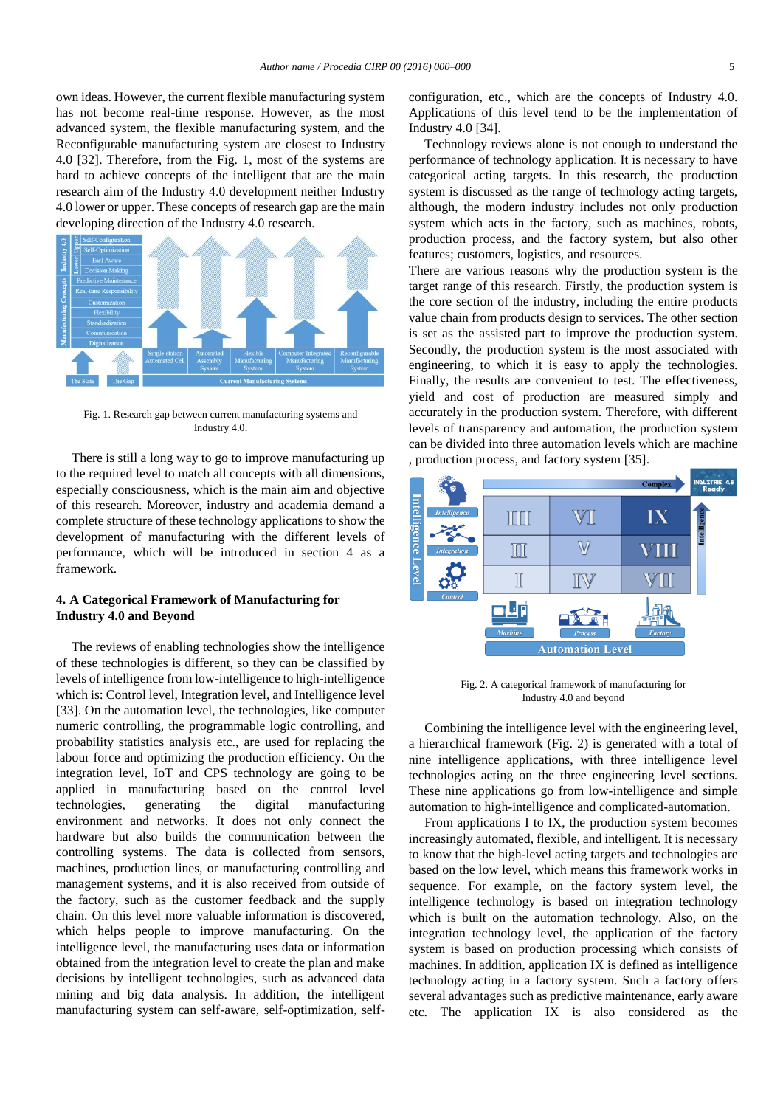own ideas. However, the current flexible manufacturing system has not become real-time response. However, as the most advanced system, the flexible manufacturing system, and the Reconfigurable manufacturing system are closest to Industry 4.0 [32]. Therefore, from the Fig. 1, most of the systems are hard to achieve concepts of the intelligent that are the main research aim of the Industry 4.0 development neither Industry 4.0 lower or upper. These concepts of research gap are the main developing direction of the Industry 4.0 research.



Fig. 1. Research gap between current manufacturing systems and Industry 4.0.

There is still a long way to go to improve manufacturing up to the required level to match all concepts with all dimensions, especially consciousness, which is the main aim and objective of this research. Moreover, industry and academia demand a complete structure of these technology applications to show the development of manufacturing with the different levels of performance, which will be introduced in section 4 as a framework.

## **4. A Categorical Framework of Manufacturing for Industry 4.0 and Beyond**

The reviews of enabling technologies show the intelligence of these technologies is different, so they can be classified by levels of intelligence from low-intelligence to high-intelligence which is: Control level, Integration level, and Intelligence level [33]. On the automation level, the technologies, like computer numeric controlling, the programmable logic controlling, and probability statistics analysis etc., are used for replacing the labour force and optimizing the production efficiency. On the integration level, IoT and CPS technology are going to be applied in manufacturing based on the control level technologies, generating the digital manufacturing environment and networks. It does not only connect the hardware but also builds the communication between the controlling systems. The data is collected from sensors, machines, production lines, or manufacturing controlling and management systems, and it is also received from outside of the factory, such as the customer feedback and the supply chain. On this level more valuable information is discovered, which helps people to improve manufacturing. On the intelligence level, the manufacturing uses data or information obtained from the integration level to create the plan and make decisions by intelligent technologies, such as advanced data mining and big data analysis. In addition, the intelligent manufacturing system can self-aware, self-optimization, selfconfiguration, etc., which are the concepts of Industry 4.0. Applications of this level tend to be the implementation of Industry 4.0 [34].

Technology reviews alone is not enough to understand the performance of technology application. It is necessary to have categorical acting targets. In this research, the production system is discussed as the range of technology acting targets, although, the modern industry includes not only production system which acts in the factory, such as machines, robots, production process, and the factory system, but also other features; customers, logistics, and resources.

There are various reasons why the production system is the target range of this research. Firstly, the production system is the core section of the industry, including the entire products value chain from products design to services. The other section is set as the assisted part to improve the production system. Secondly, the production system is the most associated with engineering, to which it is easy to apply the technologies. Finally, the results are convenient to test. The effectiveness, yield and cost of production are measured simply and accurately in the production system. Therefore, with different levels of transparency and automation, the production system can be divided into three automation levels which are machine , production process, and factory system [35].



Fig. 2. A categorical framework of manufacturing for Industry 4.0 and beyond

Combining the intelligence level with the engineering level, a hierarchical framework (Fig. 2) is generated with a total of nine intelligence applications, with three intelligence level technologies acting on the three engineering level sections. These nine applications go from low-intelligence and simple automation to high-intelligence and complicated-automation.

From applications I to IX, the production system becomes increasingly automated, flexible, and intelligent. It is necessary to know that the high-level acting targets and technologies are based on the low level, which means this framework works in sequence. For example, on the factory system level, the intelligence technology is based on integration technology which is built on the automation technology. Also, on the integration technology level, the application of the factory system is based on production processing which consists of machines. In addition, application IX is defined as intelligence technology acting in a factory system. Such a factory offers several advantages such as predictive maintenance, early aware etc. The application IX is also considered as the